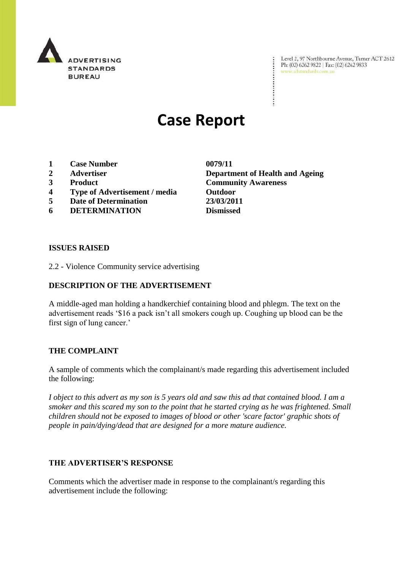

Level 2, 97 Northbourne Avenue, Turner ACT 2612<br>Ph: (02) 6262 9822 | Fax: (02) 6262 9833<br>www.adstandards.com.au

# **Case Report**

- **1 Case Number 0079/11**
- 
- 
- **4 Type of Advertisement / media Outdoor**
- **5 Date of Determination 23/03/2011**
- **6 DETERMINATION Dismissed**

**2 Advertiser Department of Health and Ageing 3 Product Community Awareness**

÷

### **ISSUES RAISED**

2.2 - Violence Community service advertising

## **DESCRIPTION OF THE ADVERTISEMENT**

A middle-aged man holding a handkerchief containing blood and phlegm. The text on the advertisement reads "\$16 a pack isn"t all smokers cough up. Coughing up blood can be the first sign of lung cancer.'

### **THE COMPLAINT**

A sample of comments which the complainant/s made regarding this advertisement included the following:

*I object to this advert as my son is 5 years old and saw this ad that contained blood. I am a smoker and this scared my son to the point that he started crying as he was frightened. Small children should not be exposed to images of blood or other 'scare factor' graphic shots of people in pain/dying/dead that are designed for a more mature audience.*

### **THE ADVERTISER'S RESPONSE**

Comments which the advertiser made in response to the complainant/s regarding this advertisement include the following: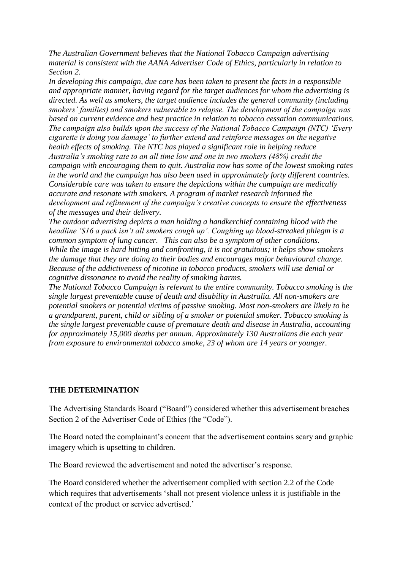*The Australian Government believes that the National Tobacco Campaign advertising material is consistent with the AANA Advertiser Code of Ethics, particularly in relation to Section 2.* 

*In developing this campaign, due care has been taken to present the facts in a responsible and appropriate manner, having regard for the target audiences for whom the advertising is directed. As well as smokers, the target audience includes the general community (including smokers' families) and smokers vulnerable to relapse. The development of the campaign was based on current evidence and best practice in relation to tobacco cessation communications. The campaign also builds upon the success of the National Tobacco Campaign (NTC) 'Every cigarette is doing you damage' to further extend and reinforce messages on the negative health effects of smoking. The NTC has played a significant role in helping reduce Australia's smoking rate to an all time low and one in two smokers (48%) credit the campaign with encouraging them to quit. Australia now has some of the lowest smoking rates in the world and the campaign has also been used in approximately forty different countries. Considerable care was taken to ensure the depictions within the campaign are medically accurate and resonate with smokers. A program of market research informed the development and refinement of the campaign's creative concepts to ensure the effectiveness of the messages and their delivery.*

*The outdoor advertising depicts a man holding a handkerchief containing blood with the headline '\$16 a pack isn't all smokers cough up'. Coughing up blood-streaked phlegm is a common symptom of lung cancer. This can also be a symptom of other conditions. While the image is hard hitting and confronting, it is not gratuitous; it helps show smokers the damage that they are doing to their bodies and encourages major behavioural change. Because of the addictiveness of nicotine in tobacco products, smokers will use denial or cognitive dissonance to avoid the reality of smoking harms.*

*The National Tobacco Campaign is relevant to the entire community. Tobacco smoking is the single largest preventable cause of death and disability in Australia. All non-smokers are potential smokers or potential victims of passive smoking. Most non-smokers are likely to be a grandparent, parent, child or sibling of a smoker or potential smoker. Tobacco smoking is the single largest preventable cause of premature death and disease in Australia, accounting for approximately 15,000 deaths per annum. Approximately 130 Australians die each year from exposure to environmental tobacco smoke, 23 of whom are 14 years or younger.*

### **THE DETERMINATION**

The Advertising Standards Board ("Board") considered whether this advertisement breaches Section 2 of the Advertiser Code of Ethics (the "Code").

The Board noted the complainant's concern that the advertisement contains scary and graphic imagery which is upsetting to children.

The Board reviewed the advertisement and noted the advertiser"s response.

The Board considered whether the advertisement complied with section 2.2 of the Code which requires that advertisements "shall not present violence unless it is justifiable in the context of the product or service advertised."